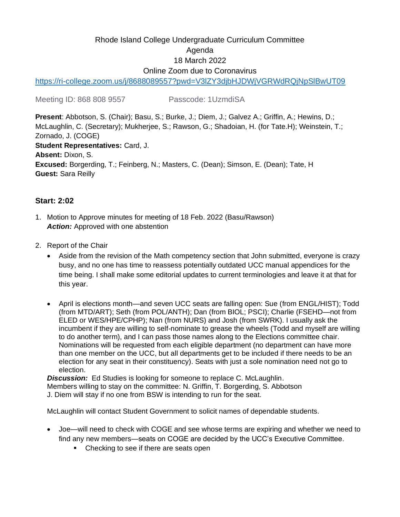# Rhode Island College Undergraduate Curriculum Committee Agenda 18 March 2022 Online Zoom due to Coronavirus

<https://ri-college.zoom.us/j/8688089557?pwd=V3lZY3djbHJDWjVGRWdRQjNpSlBwUT09>

Meeting ID: 868 808 9557 Passcode: 1UzmdiSA

**Present**: Abbotson, S. (Chair); Basu, S.; Burke, J.; Diem, J.; Galvez A.; Griffin, A.; Hewins, D.; McLaughlin, C. (Secretary); Mukherjee, S.; Rawson, G.; Shadoian, H. (for Tate.H); Weinstein, T.; Zornado, J. (COGE) **Student Representatives:** Card, J. **Absent:** Dixon, S. **Excused:** Borgerding, T.; Feinberg, N.; Masters, C. (Dean); Simson, E. (Dean); Tate, H **Guest:** Sara Reilly

## **Start: 2:02**

- 1. Motion to Approve minutes for meeting of 18 Feb. 2022 (Basu/Rawson) **Action:** Approved with one abstention
- 2. Report of the Chair
	- Aside from the revision of the Math competency section that John submitted, everyone is crazy busy, and no one has time to reassess potentially outdated UCC manual appendices for the time being. I shall make some editorial updates to current terminologies and leave it at that for this year.
	- April is elections month—and seven UCC seats are falling open: Sue (from ENGL/HIST); Todd (from MTD/ART); Seth (from POL/ANTH); Dan (from BIOL; PSCI); Charlie (FSEHD—not from ELED or WES/HPE/CPHP); Nan (from NURS) and Josh (from SWRK). I usually ask the incumbent if they are willing to self-nominate to grease the wheels (Todd and myself are willing to do another term), and I can pass those names along to the Elections committee chair. Nominations will be requested from each eligible department (no department can have more than one member on the UCC, but all departments get to be included if there needs to be an election for any seat in their constituency). Seats with just a sole nomination need not go to election.

**Discussion:** Ed Studies is looking for someone to replace C. McLaughlin.

Members willing to stay on the committee: N. Griffin, T. Borgerding, S. Abbotson

J. Diem will stay if no one from BSW is intending to run for the seat.

McLaughlin will contact Student Government to solicit names of dependable students.

- Joe—will need to check with COGE and see whose terms are expiring and whether we need to find any new members—seats on COGE are decided by the UCC's Executive Committee.
	- Checking to see if there are seats open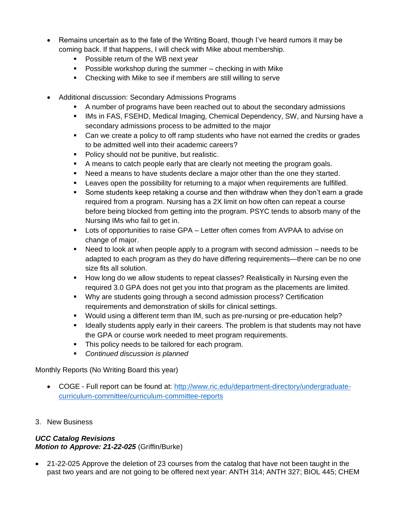- Remains uncertain as to the fate of the Writing Board, though I've heard rumors it may be coming back. If that happens, I will check with Mike about membership.
	- Possible return of the WB next year
	- Possible workshop during the summer checking in with Mike
	- Checking with Mike to see if members are still willing to serve
- Additional discussion: Secondary Admissions Programs
	- A number of programs have been reached out to about the secondary admissions
	- IMs in FAS, FSEHD, Medical Imaging, Chemical Dependency, SW, and Nursing have a secondary admissions process to be admitted to the major
	- Can we create a policy to off ramp students who have not earned the credits or grades to be admitted well into their academic careers?
	- Policy should not be punitive, but realistic.
	- A means to catch people early that are clearly not meeting the program goals.
	- Need a means to have students declare a major other than the one they started.
	- **EXECT** Leaves open the possibility for returning to a major when requirements are fulfilled.
	- Some students keep retaking a course and then withdraw when they don't earn a grade required from a program. Nursing has a 2X limit on how often can repeat a course before being blocked from getting into the program. PSYC tends to absorb many of the Nursing IMs who fail to get in.
	- Lots of opportunities to raise GPA Letter often comes from AVPAA to advise on change of major.
	- Need to look at when people apply to a program with second admission needs to be adapted to each program as they do have differing requirements—there can be no one size fits all solution.
	- How long do we allow students to repeat classes? Realistically in Nursing even the required 3.0 GPA does not get you into that program as the placements are limited.
	- Why are students going through a second admission process? Certification requirements and demonstration of skills for clinical settings.
	- Would using a different term than IM, such as pre-nursing or pre-education help?
	- **EXT** Ideally students apply early in their careers. The problem is that students may not have the GPA or course work needed to meet program requirements.
	- **•** This policy needs to be tailored for each program.
	- *Continued discussion is planned*

### Monthly Reports (No Writing Board this year)

- COGE Full report can be found at: [http://www.ric.edu/department-directory/undergraduate](http://www.ric.edu/department-directory/undergraduate-curriculum-committee/curriculum-committee-reports)[curriculum-committee/curriculum-committee-reports](http://www.ric.edu/department-directory/undergraduate-curriculum-committee/curriculum-committee-reports)
- 3. New Business

#### *UCC Catalog Revisions Motion to Approve: 21-22-025* (Griffin/Burke)

• 21-22-025 Approve the deletion of 23 courses from the catalog that have not been taught in the past two years and are not going to be offered next year: ANTH 314; ANTH 327; BIOL 445; CHEM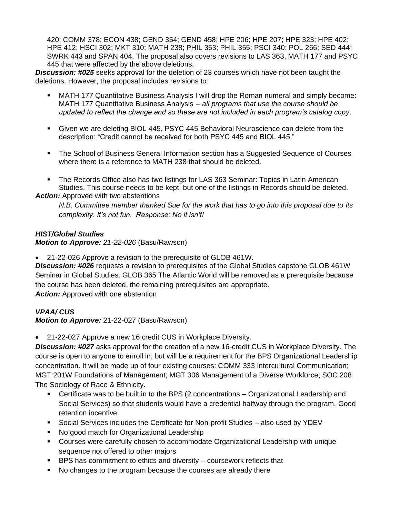420; COMM 378; ECON 438; GEND 354; GEND 458; HPE 206; HPE 207; HPE 323; HPE 402; HPE 412; HSCI 302; MKT 310; MATH 238; PHIL 353; PHIL 355; PSCI 340; POL 266; SED 444; SWRK 443 and SPAN 404. The proposal also covers revisions to LAS 363, MATH 177 and PSYC 445 that were affected by the above deletions.

*Discussion: #025* seeks approval for the deletion of 23 courses which have not been taught the deletions. However, the proposal includes revisions to:

- MATH 177 Quantitative Business Analysis I will drop the Roman numeral and simply become: MATH 177 Quantitative Business Analysis -- *all programs that use the course should be updated to reflect the change and so these are not included in each program's catalog copy*.
- **EX41** Given we are deleting BIOL 445, PSYC 445 Behavioral Neuroscience can delete from the description: "Credit cannot be received for both PSYC 445 and BIOL 445."
- The School of Business General Information section has a Suggested Sequence of Courses where there is a reference to MATH 238 that should be deleted.
- The Records Office also has two listings for LAS 363 Seminar: Topics in Latin American Studies. This course needs to be kept, but one of the listings in Records should be deleted.

*Action:* Approved with two abstentions

*N.B. Committee member thanked Sue for the work that has to go into this proposal due to its complexity. It's not fun. Response: No it isn't!*

### *HIST/Global Studies*

*Motion to Approve: 21-22-026* (Basu/Rawson)

• 21-22-026 Approve a revision to the prerequisite of GLOB 461W.

*Discussion: #026* requests a revision to prerequisites of the Global Studies capstone GLOB 461W Seminar in Global Studies. GLOB 365 The Atlantic World will be removed as a prerequisite because the course has been deleted, the remaining prerequisites are appropriate. *Action:* Approved with one abstention

### *VPAA/ CUS*

*Motion to Approve:* 21-22-027 (Basu/Rawson)

• 21-22-027 Approve a new 16 credit CUS in Workplace Diversity.

*Discussion: #027* asks approval for the creation of a new 16-credit CUS in Workplace Diversity. The course is open to anyone to enroll in, but will be a requirement for the BPS Organizational Leadership concentration. It will be made up of four existing courses: COMM 333 Intercultural Communication; MGT 201W Foundations of Management; MGT 306 Management of a Diverse Workforce; SOC 208 The Sociology of Race & Ethnicity.

- Certificate was to be built in to the BPS (2 concentrations Organizational Leadership and Social Services) so that students would have a credential halfway through the program. Good retention incentive.
- Social Services includes the Certificate for Non-profit Studies also used by YDEV
- No good match for Organizational Leadership
- Courses were carefully chosen to accommodate Organizational Leadership with unique sequence not offered to other majors
- BPS has commitment to ethics and diversity coursework reflects that
- No changes to the program because the courses are already there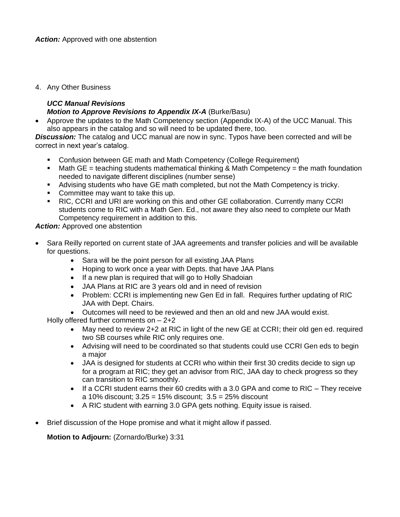4. Any Other Business

#### *UCC Manual Revisions Motion to Approve Revisions to Appendix IX-A* (Burke/Basu)

• Approve the updates to the Math Competency section (Appendix IX-A) of the UCC Manual. This also appears in the catalog and so will need to be updated there, too.

*Discussion:* The catalog and UCC manual are now in sync. Typos have been corrected and will be correct in next year's catalog.

- Confusion between GE math and Math Competency (College Requirement)
- **■** Math GE = teaching students mathematical thinking & Math Competency = the math foundation needed to navigate different disciplines (number sense)
- **E** Advising students who have GE math completed, but not the Math Competency is tricky.
- Committee may want to take this up.
- RIC, CCRI and URI are working on this and other GE collaboration. Currently many CCRI students come to RIC with a Math Gen. Ed., not aware they also need to complete our Math Competency requirement in addition to this.

**Action:** Approved one abstention

- Sara Reilly reported on current state of JAA agreements and transfer policies and will be available for questions.
	- Sara will be the point person for all existing JAA Plans
	- Hoping to work once a year with Depts. that have JAA Plans
	- If a new plan is required that will go to Holly Shadoian
	- JAA Plans at RIC are 3 years old and in need of revision
	- Problem: CCRI is implementing new Gen Ed in fall. Requires further updating of RIC JAA with Dept. Chairs.

• Outcomes will need to be reviewed and then an old and new JAA would exist.

Holly offered further comments on – 2+2

- May need to review 2+2 at RIC in light of the new GE at CCRI; their old gen ed. required two SB courses while RIC only requires one.
- Advising will need to be coordinated so that students could use CCRI Gen eds to begin a major
- JAA is designed for students at CCRI who within their first 30 credits decide to sign up for a program at RIC; they get an advisor from RIC, JAA day to check progress so they can transition to RIC smoothly.
- If a CCRI student earns their 60 credits with a 3.0 GPA and come to RIC They receive a 10% discount; 3.25 = 15% discount; 3.5 = 25% discount
- A RIC student with earning 3.0 GPA gets nothing. Equity issue is raised.
- Brief discussion of the Hope promise and what it might allow if passed.

**Motion to Adjourn: (Zornardo/Burke) 3:31**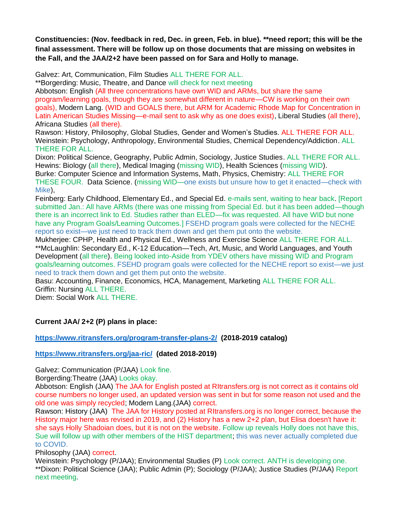**Constituencies: (Nov. feedback in red, Dec. in green, Feb. in blue). \*\*need report; this will be the final assessment. There will be follow up on those documents that are missing on websites in the Fall, and the JAA/2+2 have been passed on for Sara and Holly to manage.**

Galvez: Art, Communication, Film Studies ALL THERE FOR ALL.

\*\*Borgerding: Music, Theatre, and Dance will check for next meeting

Abbotson: English (All three concentrations have own WID and ARMs, but share the same program/learning goals, though they are somewhat different in nature—CW is working on their own goals), Modern Lang. (WID and GOALS there, but ARM for Academic Rhode Map for Concentration in Latin American Studies Missing—e-mail sent to ask why as one does exist), Liberal Studies (all there), Africana Studies (all there).

Rawson: History, Philosophy, Global Studies, Gender and Women's Studies. ALL THERE FOR ALL. Weinstein: Psychology, Anthropology, Environmental Studies, Chemical Dependency/Addiction. ALL THERE FOR ALL.

Dixon: Political Science, Geography, Public Admin, Sociology, Justice Studies. ALL THERE FOR ALL. Hewins: Biology (all there), Medical Imaging (missing WID), Health Sciences (missing WID). Burke: Computer Science and Information Systems, Math, Physics, Chemistry: ALL THERE FOR THESE FOUR. Data Science. (missing WID—one exists but unsure how to get it enacted—check with Mike),

Feinberg: Early Childhood, Elementary Ed., and Special Ed. e-mails sent, waiting to hear back. [Report submitted Jan.: All have ARMs (there was one missing from Special Ed. but it has been added—though there is an incorrect link to Ed. Studies rather than ELED—fix was requested. All have WID but none have any Program Goals/Learning Outcomes.] FSEHD program goals were collected for the NECHE report so exist—we just need to track them down and get them put onto the website.

Mukherjee: CPHP, Health and Physical Ed., Wellness and Exercise Science ALL THERE FOR ALL. \*\*McLaughlin: Secondary Ed., K-12 Education—Tech, Art, Music, and World Languages, and Youth Development (all there). Being looked into-Aside from YDEV others have missing WID and Program goals/learning outcomes. FSEHD program goals were collected for the NECHE report so exist—we just need to track them down and get them put onto the website.

Basu: Accounting, Finance, Economics, HCA, Management, Marketing ALL THERE FOR ALL. Griffin: Nursing ALL THERE.

Diem: Social Work ALL THERE.

### **Current JAA/ 2+2 (P) plans in place:**

**<https://www.ritransfers.org/program-transfer-plans-2/>(2018-2019 catalog)**

#### **<https://www.ritransfers.org/jaa-ric/>(dated 2018-2019)**

Galvez: Communication (P/JAA) Look fine.

Borgerding:Theatre (JAA) Looks okay.

Abbotson: English (JAA) The JAA for English posted at RItransfers.org is not correct as it contains old course numbers no longer used, an updated version was sent in but for some reason not used and the old one was simply recycled; Modern Lang.(JAA) correct.

Rawson: History (JAA) The JAA for History posted at RItransfers.org is no longer correct, because the History major here was revised in 2019, and (2) History has a new 2+2 plan, but Elisa doesn't have it: she says Holly Shadoian does, but it is not on the website. Follow up reveals Holly does not have this, Sue will follow up with other members of the HIST department; this was never actually completed due to COVID.

Philosophy (JAA) correct.

Weinstein: Psychology (P/JAA); Environmental Studies (P) Look correct. ANTH is developing one. \*\*Dixon: Political Science (JAA); Public Admin (P); Sociology (P/JAA); Justice Studies (P/JAA) Report next meeting.